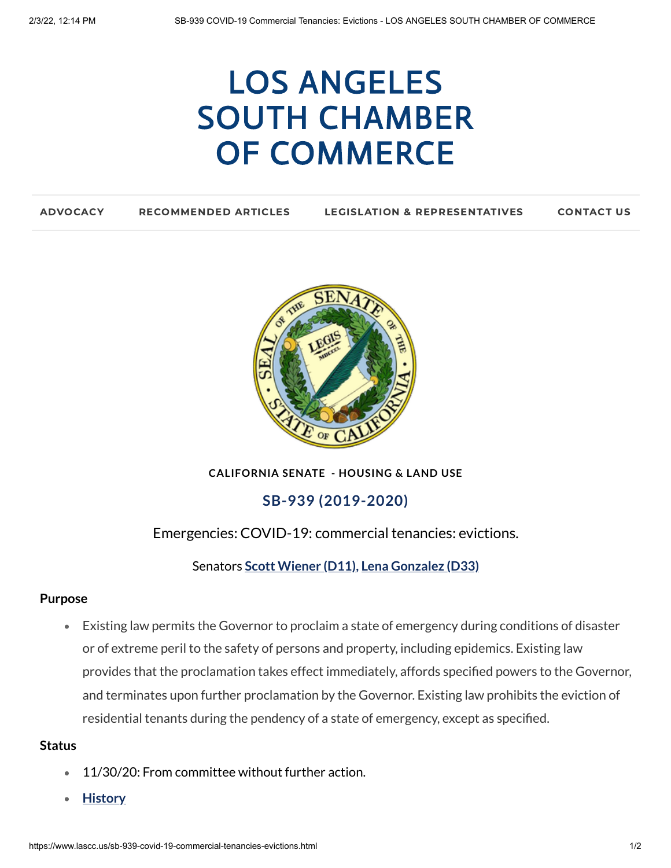# LOS ANGELES SOUTH CHAMBER OF [COMMERCE](https://www.lascc.us/)

| <b>LEGISLATION &amp; REPRESENTATIVES</b><br><b>RECOMMENDED ARTICLES</b><br><b>CONTACT US</b><br><b>ADVOCACY</b> |
|-----------------------------------------------------------------------------------------------------------------|
|-----------------------------------------------------------------------------------------------------------------|



**CALIFORNIA SENATE - HOUSING & LAND USE**

## **SB-939 (2019-2020)**

## Emergencies: COVID-19: commercial tenancies: evictions.

Senators **Scott [Wiener](https://sd11.senate.ca.gov/) (D11)[,](http://google.com/) Lena [Gonzalez](https://sd33.senate.ca.gov/) (D33)**

#### **Purpose**

Existing law permits the Governor to proclaim a state of emergency during conditions of disaster or of extreme peril to the safety of persons and property, including epidemics. Existing law provides that the proclamation takes effect immediately, affords specified powers to the Governor, and terminates upon further proclamation by the Governor. Existing law prohibits the eviction of residential tenants during the pendency of a state of emergency, except as specified.

#### **Status**

- 11/30/20: From committee without further action.  $\bullet$
- **[History](https://leginfo.legislature.ca.gov/faces/billHistoryClient.xhtml?bill_id=201920200SB939)**